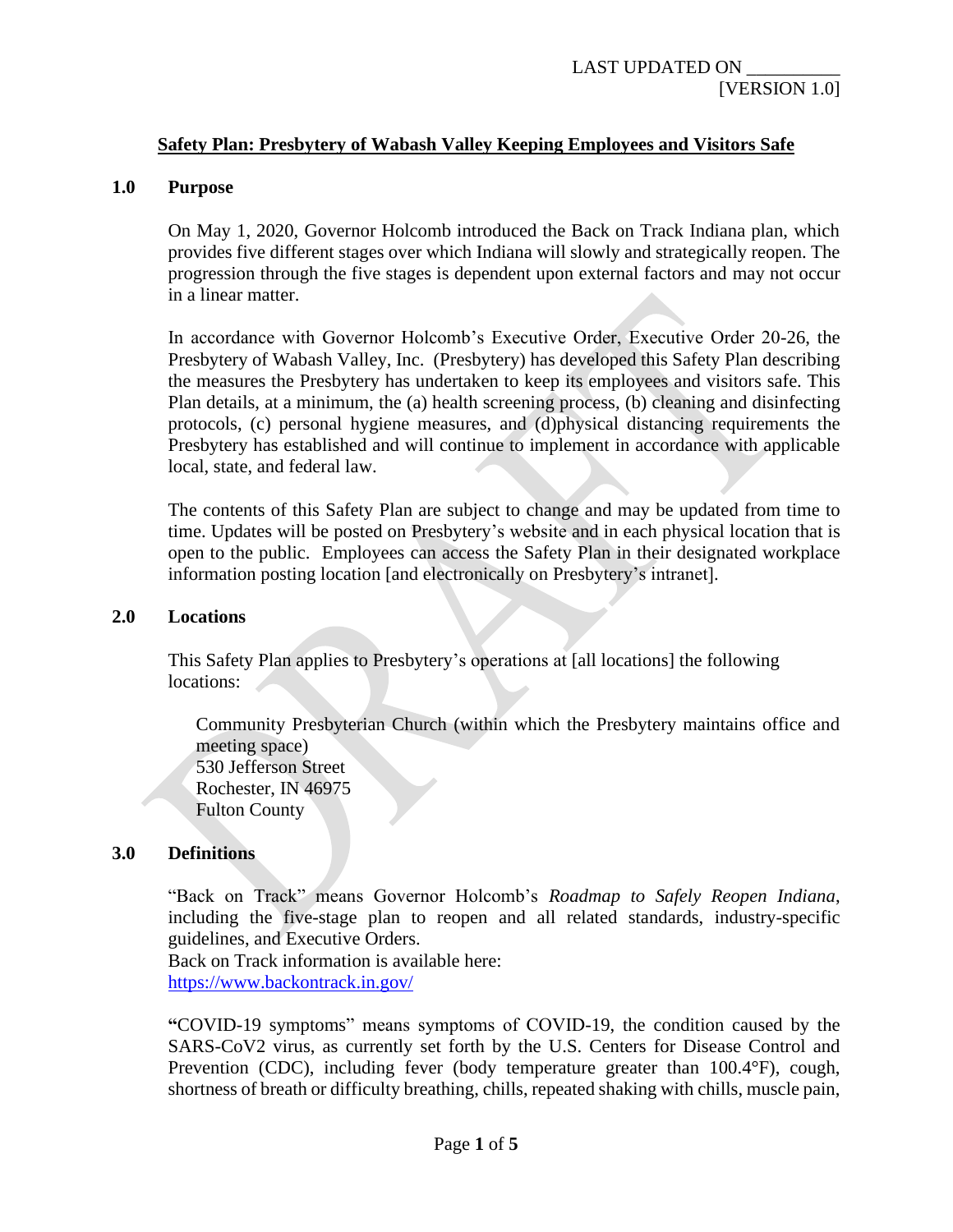# **Safety Plan: Presbytery of Wabash Valley Keeping Employees and Visitors Safe**

### **1.0 Purpose**

On May 1, 2020, Governor Holcomb introduced the Back on Track Indiana plan, which provides five different stages over which Indiana will slowly and strategically reopen. The progression through the five stages is dependent upon external factors and may not occur in a linear matter.

In accordance with Governor Holcomb's Executive Order, Executive Order 20-26, the Presbytery of Wabash Valley, Inc. (Presbytery) has developed this Safety Plan describing the measures the Presbytery has undertaken to keep its employees and visitors safe. This Plan details, at a minimum, the (a) health screening process, (b) cleaning and disinfecting protocols, (c) personal hygiene measures, and (d)physical distancing requirements the Presbytery has established and will continue to implement in accordance with applicable local, state, and federal law.

The contents of this Safety Plan are subject to change and may be updated from time to time. Updates will be posted on Presbytery's website and in each physical location that is open to the public. Employees can access the Safety Plan in their designated workplace information posting location [and electronically on Presbytery's intranet].

#### **2.0 Locations**

This Safety Plan applies to Presbytery's operations at [all locations] the following locations:

Community Presbyterian Church (within which the Presbytery maintains office and meeting space) 530 Jefferson Street Rochester, IN 46975 Fulton County

## **3.0 Definitions**

"Back on Track" means Governor Holcomb's *Roadmap to Safely Reopen Indiana*, including the five-stage plan to reopen and all related standards, industry-specific guidelines, and Executive Orders.

Back on Track information is available here: <https://www.backontrack.in.gov/>

**"**COVID-19 symptoms" means symptoms of COVID-19, the condition caused by the SARS-CoV2 virus, as currently set forth by the U.S. Centers for Disease Control and Prevention (CDC), including fever (body temperature greater than 100.4°F), cough, shortness of breath or difficulty breathing, chills, repeated shaking with chills, muscle pain,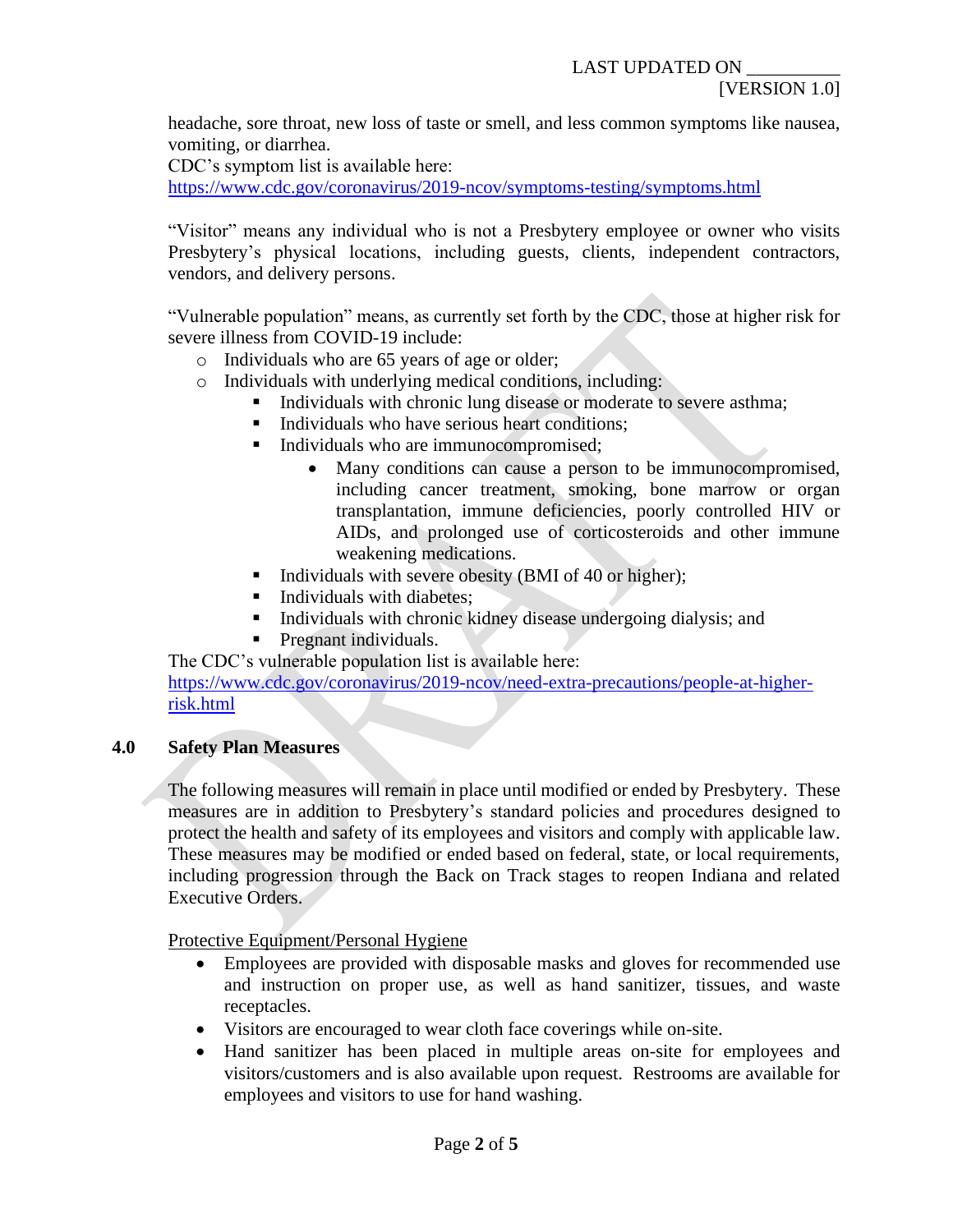headache, sore throat, new loss of taste or smell, and less common symptoms like nausea, vomiting, or diarrhea.

CDC's symptom list is available here:

<https://www.cdc.gov/coronavirus/2019-ncov/symptoms-testing/symptoms.html>

"Visitor" means any individual who is not a Presbytery employee or owner who visits Presbytery's physical locations, including guests, clients, independent contractors, vendors, and delivery persons.

"Vulnerable population" means, as currently set forth by the CDC, those at higher risk for severe illness from COVID-19 include:

- o Individuals who are 65 years of age or older;
- o Individuals with underlying medical conditions, including:
	- **Individuals with chronic lung disease or moderate to severe asthma;** 
		- Individuals who have serious heart conditions;
	- Individuals who are immunocompromised;
		- Many conditions can cause a person to be immunocompromised, including cancer treatment, smoking, bone marrow or organ transplantation, immune deficiencies, poorly controlled HIV or AIDs, and prolonged use of corticosteroids and other immune weakening medications.
	- Individuals with severe obesity (BMI of 40 or higher);
	- **•** Individuals with diabetes;
	- Individuals with chronic kidney disease undergoing dialysis; and
	- **•** Pregnant individuals.

The CDC's vulnerable population list is available here:

[https://www.cdc.gov/coronavirus/2019-ncov/need-extra-precautions/people-at-higher](https://www.cdc.gov/coronavirus/2019-ncov/need-extra-precautions/people-at-higher-risk.html)[risk.html](https://www.cdc.gov/coronavirus/2019-ncov/need-extra-precautions/people-at-higher-risk.html)

# **4.0 Safety Plan Measures**

The following measures will remain in place until modified or ended by Presbytery. These measures are in addition to Presbytery's standard policies and procedures designed to protect the health and safety of its employees and visitors and comply with applicable law. These measures may be modified or ended based on federal, state, or local requirements, including progression through the Back on Track stages to reopen Indiana and related Executive Orders.

Protective Equipment/Personal Hygiene

- Employees are provided with disposable masks and gloves for recommended use and instruction on proper use, as well as hand sanitizer, tissues, and waste receptacles.
- Visitors are encouraged to wear cloth face coverings while on-site.
- Hand sanitizer has been placed in multiple areas on-site for employees and visitors/customers and is also available upon request. Restrooms are available for employees and visitors to use for hand washing.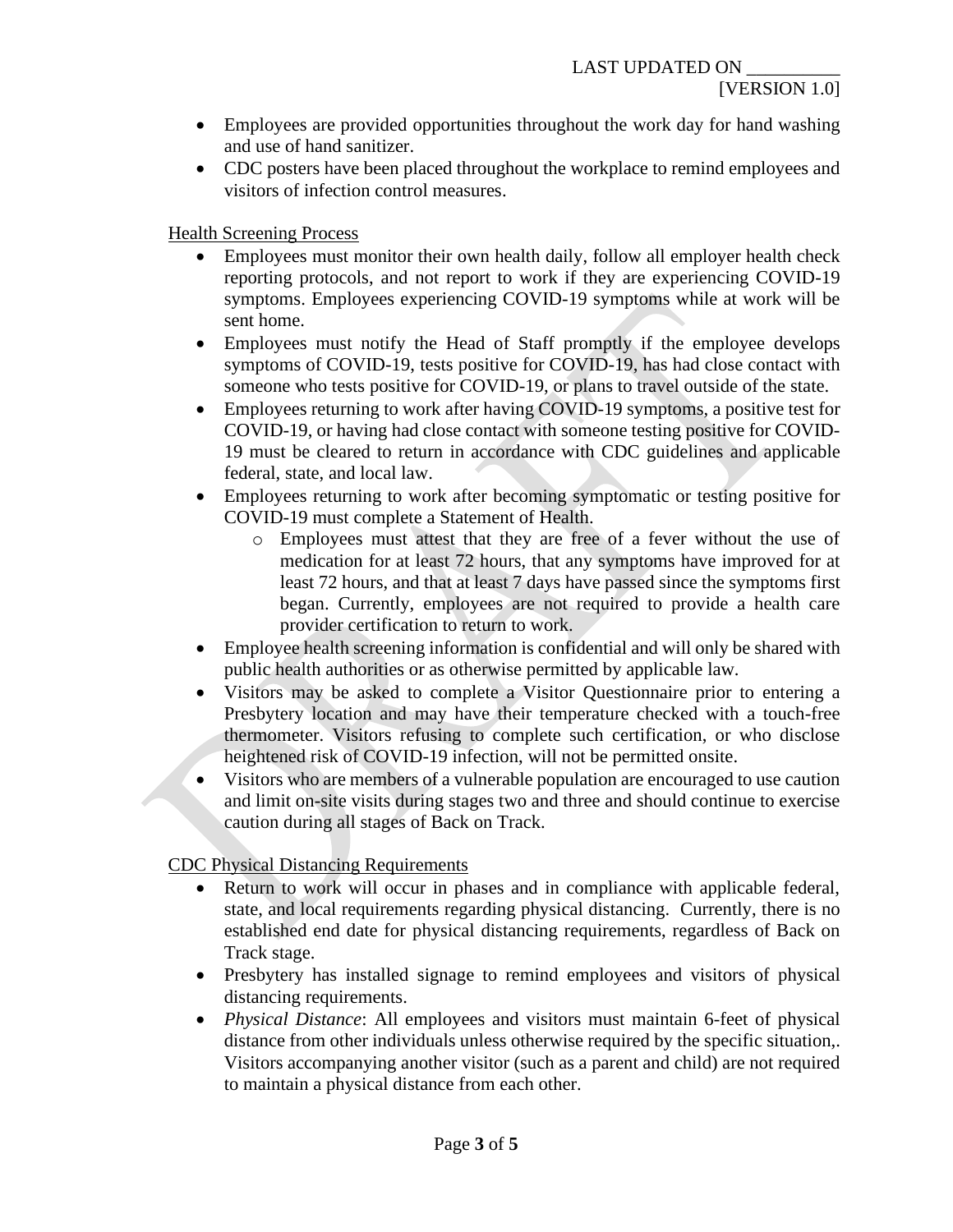- Employees are provided opportunities throughout the work day for hand washing and use of hand sanitizer.
- CDC posters have been placed throughout the workplace to remind employees and visitors of infection control measures.

Health Screening Process

- Employees must monitor their own health daily, follow all employer health check reporting protocols, and not report to work if they are experiencing COVID-19 symptoms. Employees experiencing COVID-19 symptoms while at work will be sent home.
- Employees must notify the Head of Staff promptly if the employee develops symptoms of COVID-19, tests positive for COVID-19, has had close contact with someone who tests positive for COVID-19, or plans to travel outside of the state.
- Employees returning to work after having COVID-19 symptoms, a positive test for COVID-19, or having had close contact with someone testing positive for COVID-19 must be cleared to return in accordance with CDC guidelines and applicable federal, state, and local law.
- Employees returning to work after becoming symptomatic or testing positive for COVID-19 must complete a Statement of Health.
	- o Employees must attest that they are free of a fever without the use of medication for at least 72 hours, that any symptoms have improved for at least 72 hours, and that at least 7 days have passed since the symptoms first began. Currently, employees are not required to provide a health care provider certification to return to work.
- Employee health screening information is confidential and will only be shared with public health authorities or as otherwise permitted by applicable law.
- Visitors may be asked to complete a Visitor Questionnaire prior to entering a Presbytery location and may have their temperature checked with a touch-free thermometer. Visitors refusing to complete such certification, or who disclose heightened risk of COVID-19 infection, will not be permitted onsite.
- Visitors who are members of a vulnerable population are encouraged to use caution and limit on-site visits during stages two and three and should continue to exercise caution during all stages of Back on Track.

CDC Physical Distancing Requirements

- Return to work will occur in phases and in compliance with applicable federal, state, and local requirements regarding physical distancing. Currently, there is no established end date for physical distancing requirements, regardless of Back on Track stage.
- Presbytery has installed signage to remind employees and visitors of physical distancing requirements.
- *Physical Distance*: All employees and visitors must maintain 6-feet of physical distance from other individuals unless otherwise required by the specific situation,. Visitors accompanying another visitor (such as a parent and child) are not required to maintain a physical distance from each other.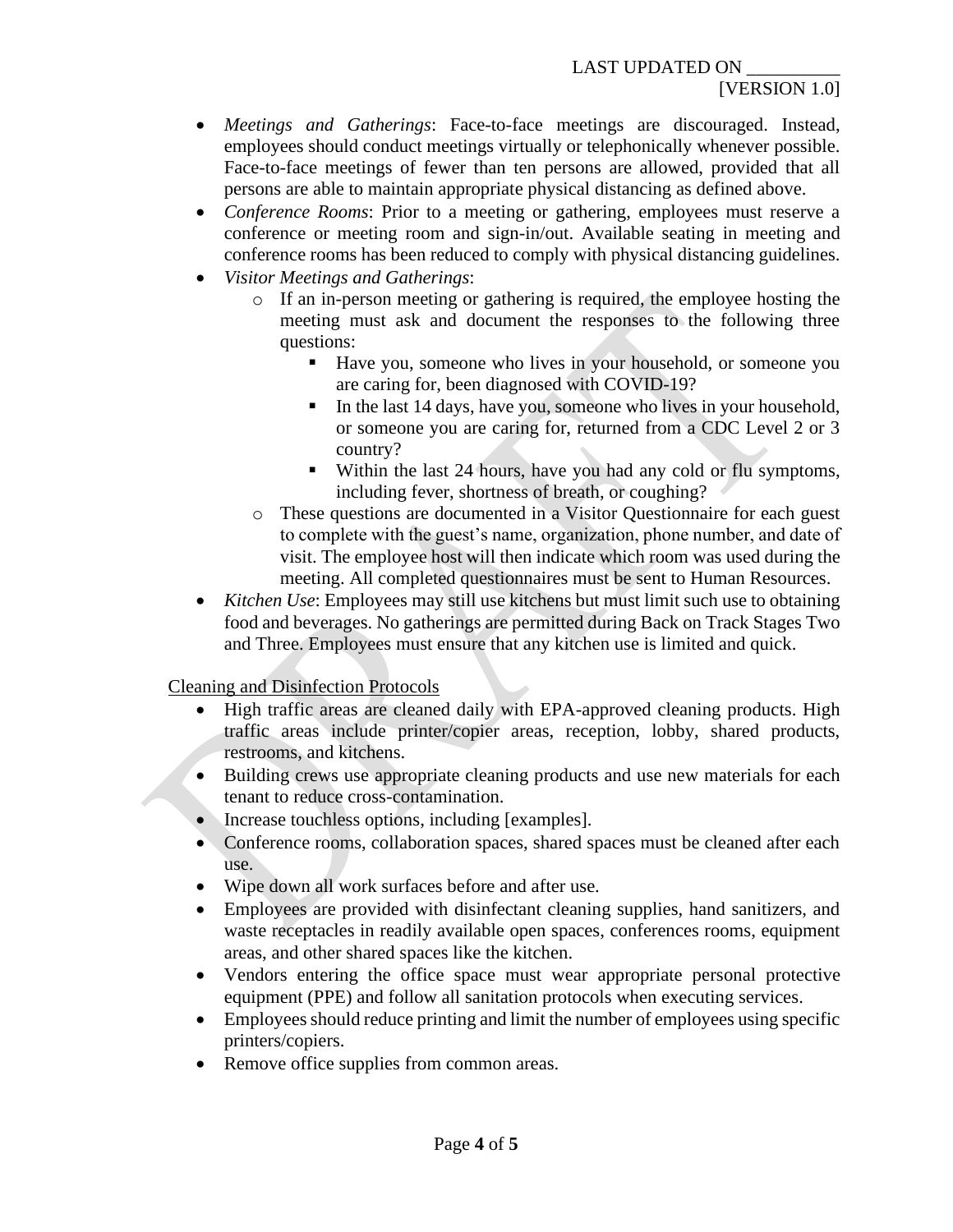- *Meetings and Gatherings*: Face-to-face meetings are discouraged. Instead, employees should conduct meetings virtually or telephonically whenever possible. Face-to-face meetings of fewer than ten persons are allowed, provided that all persons are able to maintain appropriate physical distancing as defined above.
- *Conference Rooms*: Prior to a meeting or gathering, employees must reserve a conference or meeting room and sign-in/out. Available seating in meeting and conference rooms has been reduced to comply with physical distancing guidelines.
- *Visitor Meetings and Gatherings*:
	- o If an in-person meeting or gathering is required, the employee hosting the meeting must ask and document the responses to the following three questions:
		- Have you, someone who lives in your household, or someone you are caring for, been diagnosed with COVID-19?
		- In the last 14 days, have you, someone who lives in your household, or someone you are caring for, returned from a CDC Level 2 or 3 country?
		- Within the last 24 hours, have you had any cold or flu symptoms, including fever, shortness of breath, or coughing?
	- o These questions are documented in a Visitor Questionnaire for each guest to complete with the guest's name, organization, phone number, and date of visit. The employee host will then indicate which room was used during the meeting. All completed questionnaires must be sent to Human Resources.
- *Kitchen Use*: Employees may still use kitchens but must limit such use to obtaining food and beverages. No gatherings are permitted during Back on Track Stages Two and Three. Employees must ensure that any kitchen use is limited and quick.

Cleaning and Disinfection Protocols

- High traffic areas are cleaned daily with EPA-approved cleaning products. High traffic areas include printer/copier areas, reception, lobby, shared products, restrooms, and kitchens.
- Building crews use appropriate cleaning products and use new materials for each tenant to reduce cross-contamination.
- Increase touchless options, including [examples].
- Conference rooms, collaboration spaces, shared spaces must be cleaned after each use.
- Wipe down all work surfaces before and after use.
- Employees are provided with disinfectant cleaning supplies, hand sanitizers, and waste receptacles in readily available open spaces, conferences rooms, equipment areas, and other shared spaces like the kitchen.
- Vendors entering the office space must wear appropriate personal protective equipment (PPE) and follow all sanitation protocols when executing services.
- Employees should reduce printing and limit the number of employees using specific printers/copiers.
- Remove office supplies from common areas.